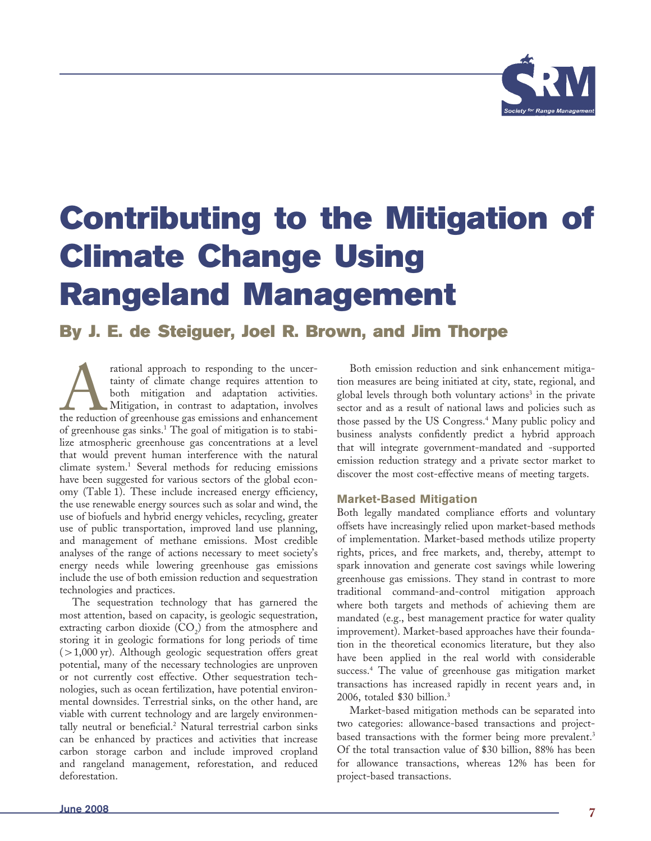

# **Contributing to the Mitigation of Climate Change Using Rangeland Management**

# **By J. E. de Steiguer, Joel R. Brown, and Jim Thorpe**

rational approach to responding to the uncertainty of climate change requires attention to both mitigation and adaptation activities.<br>Mitigation, in contrast to adaptation, involves the reduction of greenhouse gas emission tainty of climate change requires attention to both mitigation and adaptation activities. Mitigation, in contrast to adaptation, involves the reduction of greenhouse gas emissions and enhancement of greenhouse gas sinks.<sup>1</sup> The goal of mitigation is to stabilize atmospheric greenhouse gas concentrations at a level that would prevent human interference with the natural climate system.1 Several methods for reducing emissions have been suggested for various sectors of the global economy (Table 1). These include increased energy efficiency, the use renewable energy sources such as solar and wind, the use of biofuels and hybrid energy vehicles, recycling, greater use of public transportation, improved land use planning, and management of methane emissions. Most credible analyses of the range of actions necessary to meet society's energy needs while lowering greenhouse gas emissions include the use of both emission reduction and sequestration technologies and practices.

The sequestration technology that has garnered the most attention, based on capacity, is geologic sequestration, extracting carbon dioxide  $(CO_2)$  from the atmosphere and storing it in geologic formations for long periods of time  $(>1,000 \text{ yr})$ . Although geologic sequestration offers great potential, many of the necessary technologies are unproven or not currently cost effective. Other sequestration technologies, such as ocean fertilization, have potential environmental downsides. Terrestrial sinks, on the other hand, are viable with current technology and are largely environmentally neutral or beneficial.<sup>2</sup> Natural terrestrial carbon sinks can be enhanced by practices and activities that increase carbon storage carbon and include improved cropland and rangeland management, reforestation, and reduced deforestation.

Both emission reduction and sink enhancement mitigation measures are being initiated at city, state, regional, and global levels through both voluntary actions<sup>3</sup> in the private sector and as a result of national laws and policies such as those passed by the US Congress.<sup>4</sup> Many public policy and business analysts confidently predict a hybrid approach that will integrate government-mandated and -supported emission reduction strategy and a private sector market to discover the most cost-effective means of meeting targets.

# **Market-Based Mitigation**

Both legally mandated compliance efforts and voluntary offsets have increasingly relied upon market-based methods of implementation. Market-based methods utilize property rights, prices, and free markets, and, thereby, attempt to spark innovation and generate cost savings while lowering greenhouse gas emissions. They stand in contrast to more traditional command-and-control mitigation approach where both targets and methods of achieving them are mandated (e.g., best management practice for water quality improvement). Market-based approaches have their foundation in the theoretical economics literature, but they also have been applied in the real world with considerable success.4 The value of greenhouse gas mitigation market transactions has increased rapidly in recent years and, in 2006, totaled \$30 billion.3

Market-based mitigation methods can be separated into two categories: allowance-based transactions and projectbased transactions with the former being more prevalent.<sup>3</sup> Of the total transaction value of \$30 billion, 88% has been for allowance transactions, whereas 12% has been for project-based transactions.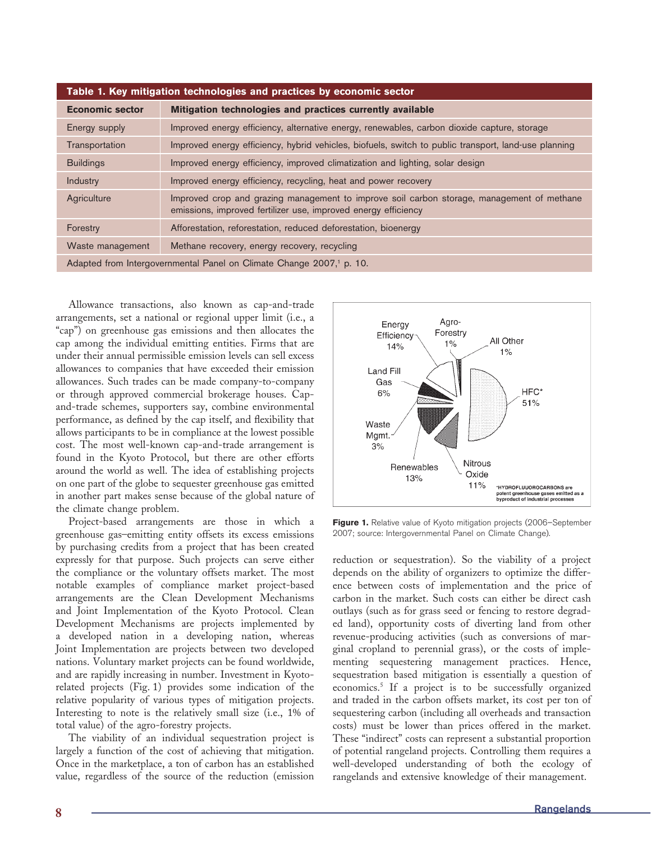| Table 1. Key mitigation technologies and practices by economic sector |                                                                                                                                                              |
|-----------------------------------------------------------------------|--------------------------------------------------------------------------------------------------------------------------------------------------------------|
| <b>Economic sector</b>                                                | Mitigation technologies and practices currently available                                                                                                    |
| Energy supply                                                         | Improved energy efficiency, alternative energy, renewables, carbon dioxide capture, storage                                                                  |
| Transportation                                                        | Improved energy efficiency, hybrid vehicles, biofuels, switch to public transport, land-use planning                                                         |
| <b>Buildings</b>                                                      | Improved energy efficiency, improved climatization and lighting, solar design                                                                                |
| Industry                                                              | Improved energy efficiency, recycling, heat and power recovery                                                                                               |
| Agriculture                                                           | Improved crop and grazing management to improve soil carbon storage, management of methane<br>emissions, improved fertilizer use, improved energy efficiency |
| Forestry                                                              | Afforestation, reforestation, reduced deforestation, bioenergy                                                                                               |
| Waste management                                                      | Methane recovery, energy recovery, recycling                                                                                                                 |
|                                                                       |                                                                                                                                                              |

Adapted from Intergovernmental Panel on Climate Change 2007,<sup>1</sup> p. 10.

Allowance transactions, also known as cap-and-trade arrangements, set a national or regional upper limit (i.e., a "cap") on greenhouse gas emissions and then allocates the cap among the individual emitting entities. Firms that are under their annual permissible emission levels can sell excess allowances to companies that have exceeded their emission allowances. Such trades can be made company-to-company or through approved commercial brokerage houses. Capand-trade schemes, supporters say, combine environmental performance, as defined by the cap itself, and flexibility that allows participants to be in compliance at the lowest possible cost. The most well-known cap-and-trade arrangement is found in the Kyoto Protocol, but there are other efforts around the world as well. The idea of establishing projects on one part of the globe to sequester greenhouse gas emitted in another part makes sense because of the global nature of the climate change problem.

Project-based arrangements are those in which a greenhouse gas–emitting entity offsets its excess emissions by purchasing credits from a project that has been created expressly for that purpose. Such projects can serve either the compliance or the voluntary offsets market. The most notable examples of compliance market project-based arrangements are the Clean Development Mechanisms and Joint Implementation of the Kyoto Protocol. Clean Development Mechanisms are projects implemented by a developed nation in a developing nation, whereas Joint Implementation are projects between two developed nations. Voluntary market projects can be found worldwide, and are rapidly increasing in number. Investment in Kyotorelated projects (Fig. 1) provides some indication of the relative popularity of various types of mitigation projects. Interesting to note is the relatively small size (i.e., 1% of total value) of the agro-forestry projects.

The viability of an individual sequestration project is largely a function of the cost of achieving that mitigation. Once in the marketplace, a ton of carbon has an established value, regardless of the source of the reduction (emission



Figure 1. Relative value of Kyoto mitigation projects (2006–September 2007; source: Intergovernmental Panel on Climate Change).

reduction or sequestration). So the viability of a project depends on the ability of organizers to optimize the difference between costs of implementation and the price of carbon in the market. Such costs can either be direct cash outlays (such as for grass seed or fencing to restore degraded land), opportunity costs of diverting land from other revenue-producing activities (such as conversions of marginal cropland to perennial grass), or the costs of implementing sequestering management practices. Hence, sequestration based mitigation is essentially a question of economics.5 If a project is to be successfully organized and traded in the carbon offsets market, its cost per ton of sequestering carbon (including all overheads and transaction costs) must be lower than prices offered in the market. These "indirect" costs can represent a substantial proportion of potential rangeland projects. Controlling them requires a well-developed understanding of both the ecology of rangelands and extensive knowledge of their management.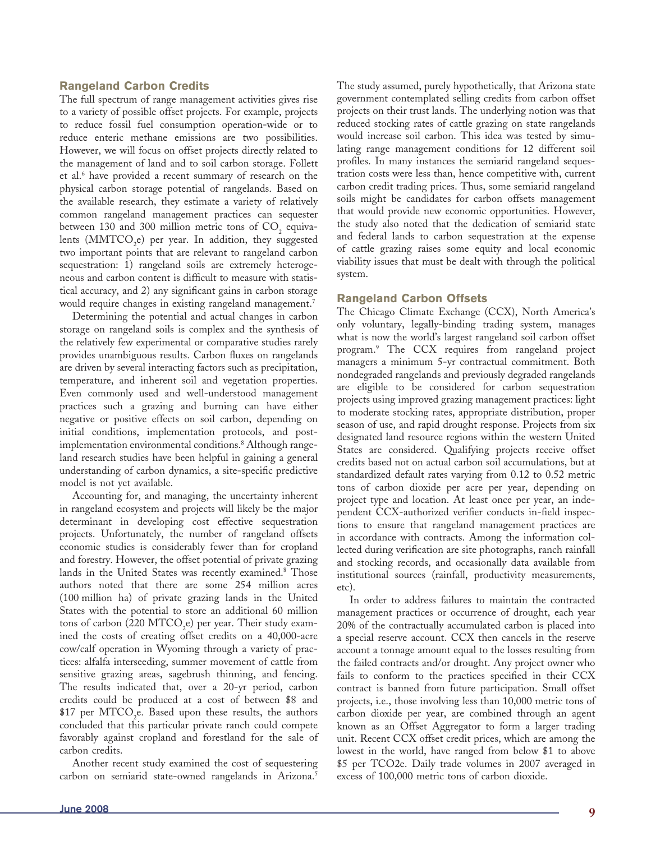## **Rangeland Carbon Credits**

The full spectrum of range management activities gives rise to a variety of possible offset projects. For example, projects to reduce fossil fuel consumption operation-wide or to reduce enteric methane emissions are two possibilities. However, we will focus on offset projects directly related to the management of land and to soil carbon storage. Follett et al.6 have provided a recent summary of research on the physical carbon storage potential of rangelands. Based on the available research, they estimate a variety of relatively common rangeland management practices can sequester between 130 and 300 million metric tons of  $\mathrm{CO}_2$  equivalents ( $\text{MMTCO}_2$ e) per year. In addition, they suggested two important points that are relevant to rangeland carbon sequestration: 1) rangeland soils are extremely heterogeneous and carbon content is difficult to measure with statistical accuracy, and 2) any significant gains in carbon storage would require changes in existing rangeland management.<sup>7</sup>

Determining the potential and actual changes in carbon storage on rangeland soils is complex and the synthesis of the relatively few experimental or comparative studies rarely provides unambiguous results. Carbon fluxes on rangelands are driven by several interacting factors such as precipitation, temperature, and inherent soil and vegetation properties. Even commonly used and well-understood management practices such a grazing and burning can have either negative or positive effects on soil carbon, depending on initial conditions, implementation protocols, and postimplementation environmental conditions.<sup>8</sup> Although rangeland research studies have been helpful in gaining a general understanding of carbon dynamics, a site-specific predictive model is not yet available.

Accounting for, and managing, the uncertainty inherent in rangeland ecosystem and projects will likely be the major determinant in developing cost effective sequestration projects. Unfortunately, the number of rangeland offsets economic studies is considerably fewer than for cropland and forestry. However, the offset potential of private grazing lands in the United States was recently examined.<sup>8</sup> Those authors noted that there are some 254 million acres (100 million ha) of private grazing lands in the United States with the potential to store an additional 60 million tons of carbon (220 MTCO<sub>2</sub>e) per year. Their study examined the costs of creating offset credits on a 40,000-acre cow/calf operation in Wyoming through a variety of practices: alfalfa interseeding, summer movement of cattle from sensitive grazing areas, sagebrush thinning, and fencing. The results indicated that, over a 20-yr period, carbon credits could be produced at a cost of between \$8 and \$17 per  $\mathrm{MTCO}_{2}$ e. Based upon these results, the authors concluded that this particular private ranch could compete favorably against cropland and forestland for the sale of carbon credits.

Another recent study examined the cost of sequestering carbon on semiarid state-owned rangelands in Arizona.<sup>5</sup>

The study assumed, purely hypothetically, that Arizona state government contemplated selling credits from carbon offset projects on their trust lands. The underlying notion was that reduced stocking rates of cattle grazing on state rangelands would increase soil carbon. This idea was tested by simulating range management conditions for 12 different soil profiles. In many instances the semiarid rangeland sequestration costs were less than, hence competitive with, current carbon credit trading prices. Thus, some semiarid rangeland soils might be candidates for carbon offsets management that would provide new economic opportunities. However, the study also noted that the dedication of semiarid state and federal lands to carbon sequestration at the expense of cattle grazing raises some equity and local economic viability issues that must be dealt with through the political system.

## **Rangeland Carbon Offsets**

The Chicago Climate Exchange (CCX), North America's only voluntary, legally-binding trading system, manages what is now the world's largest rangeland soil carbon offset program.9 The CCX requires from rangeland project managers a minimum 5-yr contractual commitment. Both nondegraded rangelands and previously degraded rangelands are eligible to be considered for carbon sequestration projects using improved grazing management practices: light to moderate stocking rates, appropriate distribution, proper season of use, and rapid drought response. Projects from six designated land resource regions within the western United States are considered. Qualifying projects receive offset credits based not on actual carbon soil accumulations, but at standardized default rates varying from 0.12 to 0.52 metric tons of carbon dioxide per acre per year, depending on project type and location. At least once per year, an independent CCX-authorized verifier conducts in-field inspections to ensure that rangeland management practices are in accordance with contracts. Among the information collected during verification are site photographs, ranch rainfall and stocking records, and occasionally data available from institutional sources (rainfall, productivity measurements, etc).

In order to address failures to maintain the contracted management practices or occurrence of drought, each year 20% of the contractually accumulated carbon is placed into a special reserve account. CCX then cancels in the reserve account a tonnage amount equal to the losses resulting from the failed contracts and/or drought. Any project owner who fails to conform to the practices specified in their CCX contract is banned from future participation. Small offset projects, i.e., those involving less than 10,000 metric tons of carbon dioxide per year, are combined through an agent known as an Offset Aggregator to form a larger trading unit. Recent CCX offset credit prices, which are among the lowest in the world, have ranged from below \$1 to above \$5 per TCO2e. Daily trade volumes in 2007 averaged in excess of 100,000 metric tons of carbon dioxide.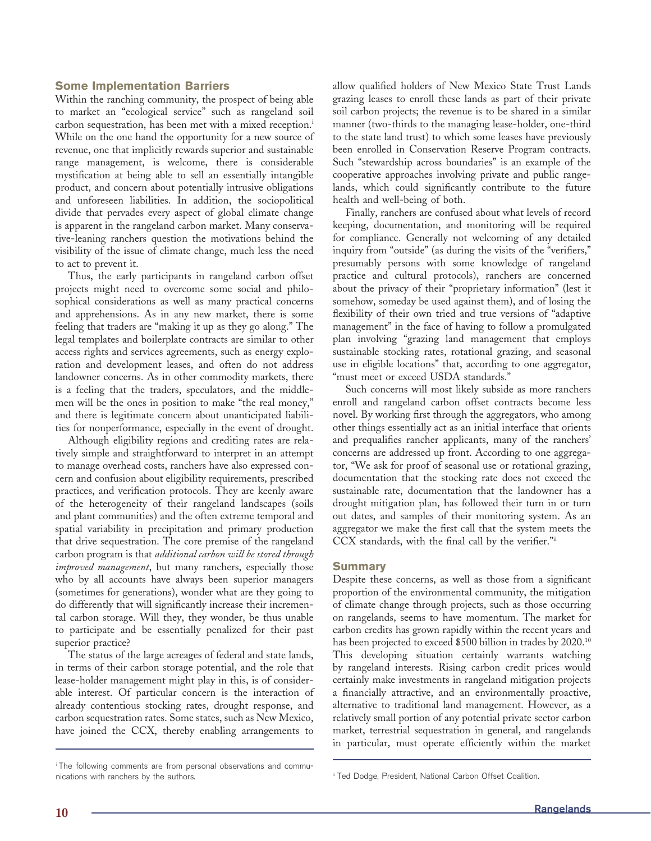#### **Some Implementation Barriers**

Within the ranching community, the prospect of being able to market an "ecological service" such as rangeland soil carbon sequestration, has been met with a mixed reception.<sup>i</sup> While on the one hand the opportunity for a new source of revenue, one that implicitly rewards superior and sustainable range management, is welcome, there is considerable mystification at being able to sell an essentially intangible product, and concern about potentially intrusive obligations and unforeseen liabilities. In addition, the sociopolitical divide that pervades every aspect of global climate change is apparent in the rangeland carbon market. Many conservative-leaning ranchers question the motivations behind the visibility of the issue of climate change, much less the need to act to prevent it.

Thus, the early participants in rangeland carbon offset projects might need to overcome some social and philosophical considerations as well as many practical concerns and apprehensions. As in any new market, there is some feeling that traders are "making it up as they go along." The legal templates and boilerplate contracts are similar to other access rights and services agreements, such as energy exploration and development leases, and often do not address landowner concerns. As in other commodity markets, there is a feeling that the traders, speculators, and the middlemen will be the ones in position to make "the real money," and there is legitimate concern about unanticipated liabilities for nonperformance, especially in the event of drought.

Although eligibility regions and crediting rates are relatively simple and straightforward to interpret in an attempt to manage overhead costs, ranchers have also expressed concern and confusion about eligibility requirements, prescribed practices, and verification protocols. They are keenly aware of the heterogeneity of their rangeland landscapes (soils and plant communities) and the often extreme temporal and spatial variability in precipitation and primary production that drive sequestration. The core premise of the rangeland carbon program is that *additional carbon will be stored through improved management*, but many ranchers, especially those who by all accounts have always been superior managers (sometimes for generations), wonder what are they going to do differently that will significantly increase their incremental carbon storage. Will they, they wonder, be thus unable to participate and be essentially penalized for their past superior practice?

The status of the large acreages of federal and state lands, in terms of their carbon storage potential, and the role that lease-holder management might play in this, is of considerable interest. Of particular concern is the interaction of already contentious stocking rates, drought response, and carbon sequestration rates. Some states, such as New Mexico, have joined the CCX, thereby enabling arrangements to

allow qualified holders of New Mexico State Trust Lands grazing leases to enroll these lands as part of their private soil carbon projects; the revenue is to be shared in a similar manner (two-thirds to the managing lease-holder, one-third to the state land trust) to which some leases have previously been enrolled in Conservation Reserve Program contracts. Such "stewardship across boundaries" is an example of the cooperative approaches involving private and public rangelands, which could significantly contribute to the future health and well-being of both.

Finally, ranchers are confused about what levels of record keeping, documentation, and monitoring will be required for compliance. Generally not welcoming of any detailed inquiry from "outside" (as during the visits of the "verifiers," presumably persons with some knowledge of rangeland practice and cultural protocols), ranchers are concerned about the privacy of their "proprietary information" (lest it somehow, someday be used against them), and of losing the flexibility of their own tried and true versions of "adaptive management" in the face of having to follow a promulgated plan involving "grazing land management that employs sustainable stocking rates, rotational grazing, and seasonal use in eligible locations" that, according to one aggregator, "must meet or exceed USDA standards."

Such concerns will most likely subside as more ranchers enroll and rangeland carbon offset contracts become less novel. By working first through the aggregators, who among other things essentially act as an initial interface that orients and prequalifies rancher applicants, many of the ranchers' concerns are addressed up front. According to one aggregator, "We ask for proof of seasonal use or rotational grazing, documentation that the stocking rate does not exceed the sustainable rate, documentation that the landowner has a drought mitigation plan, has followed their turn in or turn out dates, and samples of their monitoring system. As an aggregator we make the first call that the system meets the CCX standards, with the final call by the verifier."ii

#### **Summary**

Despite these concerns, as well as those from a significant proportion of the environmental community, the mitigation of climate change through projects, such as those occurring on rangelands, seems to have momentum. The market for carbon credits has grown rapidly within the recent years and has been projected to exceed \$500 billion in trades by 2020.<sup>10</sup> This developing situation certainly warrants watching by rangeland interests. Rising carbon credit prices would certainly make investments in rangeland mitigation projects a financially attractive, and an environmentally proactive, alternative to traditional land management. However, as a relatively small portion of any potential private sector carbon market, terrestrial sequestration in general, and rangelands in particular, must operate efficiently within the market

i The following comments are from personal observations and communications with ranchers by the authors. iii Ted Dodge, President, National Carbon Offset Coalition.